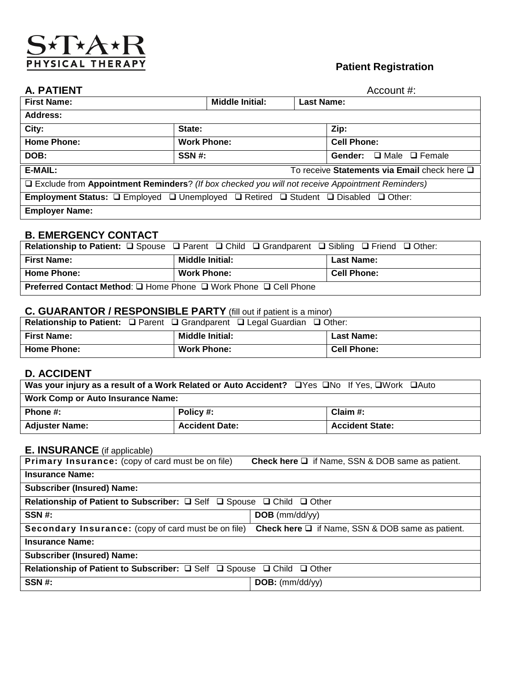### S\*T\*A PHYSICAL THERAPY

### **Patient Registration**

| A. PATIENT                                                                                        | Account #:                                                                                                                                |                                      |  |
|---------------------------------------------------------------------------------------------------|-------------------------------------------------------------------------------------------------------------------------------------------|--------------------------------------|--|
| <b>First Name:</b>                                                                                | <b>Middle Initial:</b>                                                                                                                    | <b>Last Name:</b>                    |  |
| Address:                                                                                          |                                                                                                                                           |                                      |  |
| City:                                                                                             | State:                                                                                                                                    | Zip:                                 |  |
| <b>Home Phone:</b>                                                                                | <b>Work Phone:</b>                                                                                                                        | <b>Cell Phone:</b>                   |  |
| DOB:                                                                                              | SSN #:                                                                                                                                    | $\Box$ Male $\Box$ Female<br>Gender: |  |
| E-MAIL:                                                                                           | To receive Statements via Email check here Q                                                                                              |                                      |  |
| □ Exclude from Appointment Reminders? (If box checked you will not receive Appointment Reminders) |                                                                                                                                           |                                      |  |
|                                                                                                   | <b>Employment Status:</b> $\square$ Employed $\square$ Unemployed $\square$ Retired $\square$ Student $\square$ Disabled $\square$ Other: |                                      |  |
| <b>Employer Name:</b>                                                                             |                                                                                                                                           |                                      |  |

### **B. EMERGENCY CONTACT**

|                                                                         | <b>Relationship to Patient:</b> $\square$ Spouse $\square$ Parent $\square$ Child $\square$ Grandparent $\square$ Sibling $\square$ Friend $\square$ Other: |                    |
|-------------------------------------------------------------------------|-------------------------------------------------------------------------------------------------------------------------------------------------------------|--------------------|
| <b>First Name:</b>                                                      | <b>Middle Initial:</b>                                                                                                                                      | <b>Last Name:</b>  |
| <b>Home Phone:</b>                                                      | <b>Work Phone:</b>                                                                                                                                          | <b>Cell Phone:</b> |
| <b>Preferred Contact Method: □ Home Phone □ Work Phone □ Cell Phone</b> |                                                                                                                                                             |                    |

### **C. GUARANTOR / RESPONSIBLE PARTY** (fill out if patient is a minor)

|                    | <b>Relationship to Patient:</b> $\Box$ Parent $\Box$ Grandparent $\Box$ Legal Guardian $\Box$ Other: |                    |
|--------------------|------------------------------------------------------------------------------------------------------|--------------------|
| <b>First Name:</b> | <b>Middle Initial:</b>                                                                               | <b>Last Name:</b>  |
| <b>Home Phone:</b> | <b>Work Phone:</b>                                                                                   | <b>Cell Phone:</b> |

### **D. ACCIDENT**

|                                          | Was your injury as a result of a Work Related or Auto Accident? □ Yes □ No If Yes, □ Work □ Auto |                        |
|------------------------------------------|--------------------------------------------------------------------------------------------------|------------------------|
| <b>Work Comp or Auto Insurance Name:</b> |                                                                                                  |                        |
| Phone #:                                 | Policy #:                                                                                        | Claim $#$ :            |
| <b>Adjuster Name:</b>                    | <b>Accident Date:</b>                                                                            | <b>Accident State:</b> |

### **E. INSURANCE** (if applicable)

| Primary Insurance: (copy of card must be on file)                                          | <b>Check here <math>\Box</math></b> if Name, SSN & DOB same as patient. |
|--------------------------------------------------------------------------------------------|-------------------------------------------------------------------------|
| <b>Insurance Name:</b>                                                                     |                                                                         |
| <b>Subscriber (Insured) Name:</b>                                                          |                                                                         |
| Relationship of Patient to Subscriber: Q Self Q Spouse Q Child Q Other                     |                                                                         |
| SSN #:                                                                                     | $DOB$ (mm/dd/yy)                                                        |
| Secondary Insurance: (copy of card must be on file)                                        | <b>Check here <math>\Box</math></b> if Name, SSN & DOB same as patient. |
| <b>Insurance Name:</b>                                                                     |                                                                         |
| <b>Subscriber (Insured) Name:</b>                                                          |                                                                         |
| Relationship of Patient to Subscriber: $\Box$ Self $\Box$ Spouse $\Box$ Child $\Box$ Other |                                                                         |
| SSN#:                                                                                      | $DOB:$ (mm/dd/yy)                                                       |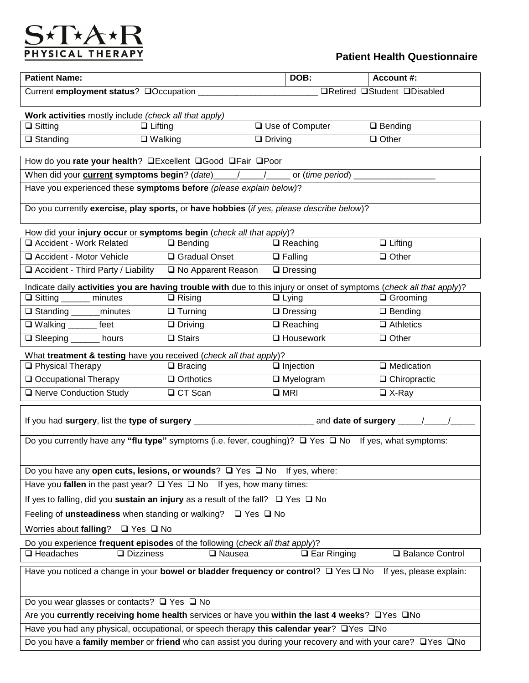# $\underbrace{S\star T\star A\star R}_{\text{PHYSICAL THERAPY}}$

### **Patient Health Questionnaire**

| <b>Patient Name:</b>                                                                                                                                           |                    |                | DOB:              | <b>Account #:</b>                  |
|----------------------------------------------------------------------------------------------------------------------------------------------------------------|--------------------|----------------|-------------------|------------------------------------|
|                                                                                                                                                                |                    |                |                   | <b>□Retired □Student □Disabled</b> |
|                                                                                                                                                                |                    |                |                   |                                    |
| Work activities mostly include (check all that apply)<br>$\Box$ Sitting<br>$\Box$ Lifting                                                                      |                    |                | □ Use of Computer | $\Box$ Bending                     |
| $\Box$ Standing<br>$\Box$ Walking                                                                                                                              |                    | $\Box$ Driving |                   | $\Box$ Other                       |
|                                                                                                                                                                |                    |                |                   |                                    |
| How do you rate your health? <b>QExcellent</b> QGood QFair QPoor                                                                                               |                    |                |                   |                                    |
| When did your <b>current symptoms begin</b> ? (date) _____/_____/ _____ or (time period)<br>Have you experienced these symptoms before (please explain below)? |                    |                |                   |                                    |
|                                                                                                                                                                |                    |                |                   |                                    |
| Do you currently exercise, play sports, or have hobbies (if yes, please describe below)?                                                                       |                    |                |                   |                                    |
|                                                                                                                                                                |                    |                |                   |                                    |
| How did your injury occur or symptoms begin (check all that apply)?<br>□ Accident - Work Related                                                               | $\Box$ Bending     |                | $\Box$ Reaching   | $\Box$ Lifting                     |
| □ Accident - Motor Vehicle                                                                                                                                     | □ Gradual Onset    |                | $\Box$ Falling    | $\Box$ Other                       |
| Accident - Third Party / Liability                                                                                                                             | No Apparent Reason |                | $\Box$ Dressing   |                                    |
| Indicate daily activities you are having trouble with due to this injury or onset of symptoms (check all that apply)?                                          |                    |                |                   |                                    |
| □ Sitting _______ minutes                                                                                                                                      | $\Box$ Rising      |                | $\Box$ Lying      | $\Box$ Grooming                    |
| □ Standing _______minutes                                                                                                                                      | $\Box$ Turning     |                | $\Box$ Dressing   | $\Box$ Bending                     |
| □ Walking _______ feet                                                                                                                                         | $\Box$ Driving     |                | $\Box$ Reaching   | $\Box$ Athletics                   |
| □ Sleeping ______ hours                                                                                                                                        | $\Box$ Stairs      |                | $\Box$ Housework  | $\Box$ Other                       |
| What treatment & testing have you received (check all that apply)?                                                                                             |                    |                |                   |                                    |
| □ Physical Therapy                                                                                                                                             | $\Box$ Bracing     |                | $\Box$ Injection  | $\Box$ Medication                  |
| Occupational Therapy                                                                                                                                           | $\Box$ Orthotics   |                | $\Box$ Myelogram  | $\Box$ Chiropractic                |
| □ Nerve Conduction Study                                                                                                                                       | □ CT Scan          | $\square$ MRI  |                   | $\Box$ X-Ray                       |
|                                                                                                                                                                |                    |                |                   |                                    |
|                                                                                                                                                                |                    |                |                   |                                    |
| Do you currently have any "flu type" symptoms (i.e. fever, coughing)? $\Box$ Yes $\Box$ No If yes, what symptoms:                                              |                    |                |                   |                                    |
|                                                                                                                                                                |                    |                |                   |                                    |
| Do you have any open cuts, lesions, or wounds? $\square$ Yes $\square$ No If yes, where:                                                                       |                    |                |                   |                                    |
| Have you fallen in the past year? $\Box$ Yes $\Box$ No If yes, how many times:                                                                                 |                    |                |                   |                                    |
| If yes to falling, did you sustain an injury as a result of the fall? $\Box$ Yes $\Box$ No                                                                     |                    |                |                   |                                    |
| Feeling of unsteadiness when standing or walking? □ Yes □ No                                                                                                   |                    |                |                   |                                    |
| Worries about falling?<br>$\Box$ Yes $\Box$ No                                                                                                                 |                    |                |                   |                                    |
| Do you experience frequent episodes of the following (check all that apply)?                                                                                   |                    |                |                   |                                    |
| $\Box$ Headaches<br>□ Balance Control<br>$\Box$ Dizziness<br>$\Box$ Ear Ringing<br><b>□</b> Nausea                                                             |                    |                |                   |                                    |
| Have you noticed a change in your bowel or bladder frequency or control? Q Yes Q No If yes, please explain:                                                    |                    |                |                   |                                    |
|                                                                                                                                                                |                    |                |                   |                                    |
| Do you wear glasses or contacts? $\Box$ Yes $\Box$ No                                                                                                          |                    |                |                   |                                    |
| Are you currently receiving home health services or have you within the last 4 weeks? OYes ONo                                                                 |                    |                |                   |                                    |
| Have you had any physical, occupational, or speech therapy this calendar year? OYes ONo                                                                        |                    |                |                   |                                    |
| Do you have a family member or friend who can assist you during your recovery and with your care? OYes ONo                                                     |                    |                |                   |                                    |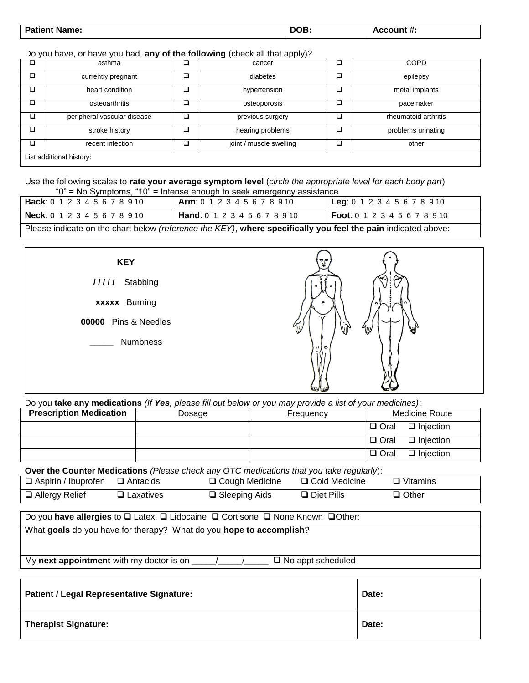| <b>Patient Name:</b> | DOB. | Account #: |
|----------------------|------|------------|
|                      |      | .          |
|                      |      |            |

Do you have, or have you had, **any of the following** (check all that apply)?

|   | asthma                      |   | cancer                  |   | <b>COPD</b>          |
|---|-----------------------------|---|-------------------------|---|----------------------|
| ◻ | currently pregnant          |   | diabetes                | □ | epilepsy             |
| ◻ | heart condition             | ◻ | hypertension            | ◻ | metal implants       |
|   | osteoarthritis              |   | osteoporosis            |   | pacemaker            |
| □ | peripheral vascular disease |   | previous surgery        |   | rheumatoid arthritis |
| ◻ | stroke history              |   | hearing problems        |   | problems urinating   |
| □ | recent infection            |   | joint / muscle swelling |   | other                |
|   | List additional history:    |   |                         |   |                      |

Use the following scales to **rate your average symptom level** (*circle the appropriate level for each body part*) " $0$ " = No Symptoms, "10" = Intense enough to seek emergency assistance

| <b>Back</b> : 0 1 2 3 4 5 6 7 8 9 10  | <b>Arm:</b> 0 1 2 3 4 5 6 7 8 9 10                                                                            | <b>Leg</b> : $0 1 2 3 4 5 6 7 8 9 10$ |
|---------------------------------------|---------------------------------------------------------------------------------------------------------------|---------------------------------------|
| <b>Neck:</b> $0 1 2 3 4 5 6 7 8 9 10$ | <b>Hand:</b> 0 1 2 3 4 5 6 7 8 9 10                                                                           | <b>Foot</b> : 0 1 2 3 4 5 6 7 8 9 10  |
|                                       | Please indicate on the chart below (reference the KEY), where specifically you feel the pain indicated above: |                                       |



Do you **take any medications** *(If Yes, please fill out below or you may provide a list of your medicines)*:

| <b>Prescription Medication</b> | Dosage | Frequency | <b>Medicine Route</b>              |
|--------------------------------|--------|-----------|------------------------------------|
|                                |        |           | $\Box$ Oral $\Box$ Injection       |
|                                |        |           | $\Box$ Injection<br>$\square$ Oral |
|                                |        |           | $\Box$ Injection<br>$\Box$ Oral    |

**Over the Counter Medications** *(Please check any OTC medications that you take regularly*):

| $\Box$ Aspirin / Ibuprofen $\Box$ Antacids |                  | □ Cough Medicine        | □ Cold Medicine      | $\Box$ Vitamins |
|--------------------------------------------|------------------|-------------------------|----------------------|-----------------|
| $\Box$ Allergy Relief                      | $\Box$ Laxatives | $\square$ Sleeping Aids | $\square$ Diet Pills | $\Box$ Other    |

Do you have allergies to **□** Latex □ Lidocaine □ Cortisone □ None Known □ Other:

What **goals** do you have for therapy? What do you **hope to accomplish**?

My **next appointment** with my doctor is on \_\_\_\_\_/\_\_\_\_\_/\_\_\_\_\_ No appt scheduled

| <b>Patient / Legal Representative Signature:</b> | Date: |
|--------------------------------------------------|-------|
| <b>Therapist Signature:</b>                      | Date: |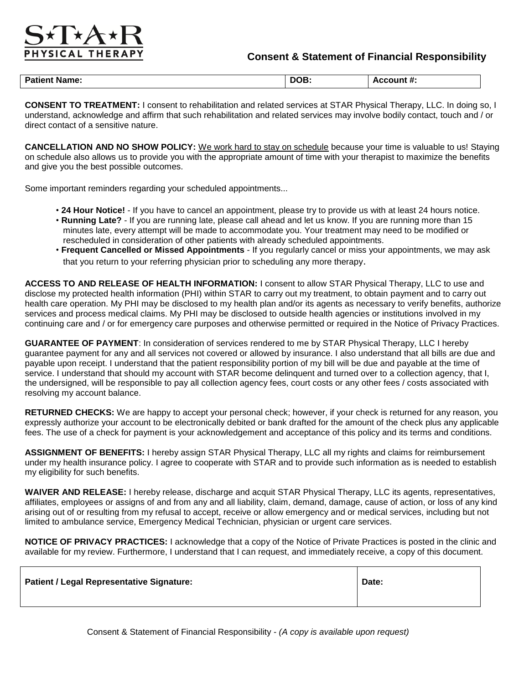## YSICAL THERA

#### **Consent & Statement of Financial Responsibility**

| <b>Patient</b><br>∶Name: | $- - -$<br>DOB. | Account #. |
|--------------------------|-----------------|------------|
|--------------------------|-----------------|------------|

**CONSENT TO TREATMENT:** I consent to rehabilitation and related services at STAR Physical Therapy, LLC. In doing so, I understand, acknowledge and affirm that such rehabilitation and related services may involve bodily contact, touch and / or direct contact of a sensitive nature.

**CANCELLATION AND NO SHOW POLICY:** We work hard to stay on schedule because your time is valuable to us! Staying on schedule also allows us to provide you with the appropriate amount of time with your therapist to maximize the benefits and give you the best possible outcomes.

Some important reminders regarding your scheduled appointments...

- **24 Hour Notice!** If you have to cancel an appointment, please try to provide us with at least 24 hours notice.
- **Running Late?** If you are running late, please call ahead and let us know. If you are running more than 15 minutes late, every attempt will be made to accommodate you. Your treatment may need to be modified or rescheduled in consideration of other patients with already scheduled appointments.
- **Frequent Cancelled or Missed Appointments**  If you regularly cancel or miss your appointments, we may ask that you return to your referring physician prior to scheduling any more therapy.

**ACCESS TO AND RELEASE OF HEALTH INFORMATION:** I consent to allow STAR Physical Therapy, LLC to use and disclose my protected health information (PHI) within STAR to carry out my treatment, to obtain payment and to carry out health care operation. My PHI may be disclosed to my health plan and/or its agents as necessary to verify benefits, authorize services and process medical claims. My PHI may be disclosed to outside health agencies or institutions involved in my continuing care and / or for emergency care purposes and otherwise permitted or required in the Notice of Privacy Practices.

**GUARANTEE OF PAYMENT**: In consideration of services rendered to me by STAR Physical Therapy, LLC I hereby guarantee payment for any and all services not covered or allowed by insurance. I also understand that all bills are due and payable upon receipt. I understand that the patient responsibility portion of my bill will be due and payable at the time of service. I understand that should my account with STAR become delinquent and turned over to a collection agency, that I, the undersigned, will be responsible to pay all collection agency fees, court costs or any other fees / costs associated with resolving my account balance.

RETURNED CHECKS: We are happy to accept your personal check; however, if your check is returned for any reason, you expressly authorize your account to be electronically debited or bank drafted for the amount of the check plus any applicable fees. The use of a check for payment is your acknowledgement and acceptance of this policy and its terms and conditions.

**ASSIGNMENT OF BENEFITS:** I hereby assign STAR Physical Therapy, LLC all my rights and claims for reimbursement under my health insurance policy. I agree to cooperate with STAR and to provide such information as is needed to establish my eligibility for such benefits.

**WAIVER AND RELEASE:** I hereby release, discharge and acquit STAR Physical Therapy, LLC its agents, representatives, affiliates, employees or assigns of and from any and all liability, claim, demand, damage, cause of action, or loss of any kind arising out of or resulting from my refusal to accept, receive or allow emergency and or medical services, including but not limited to ambulance service, Emergency Medical Technician, physician or urgent care services.

**NOTICE OF PRIVACY PRACTICES:** I acknowledge that a copy of the Notice of Private Practices is posted in the clinic and available for my review. Furthermore, I understand that I can request, and immediately receive, a copy of this document.